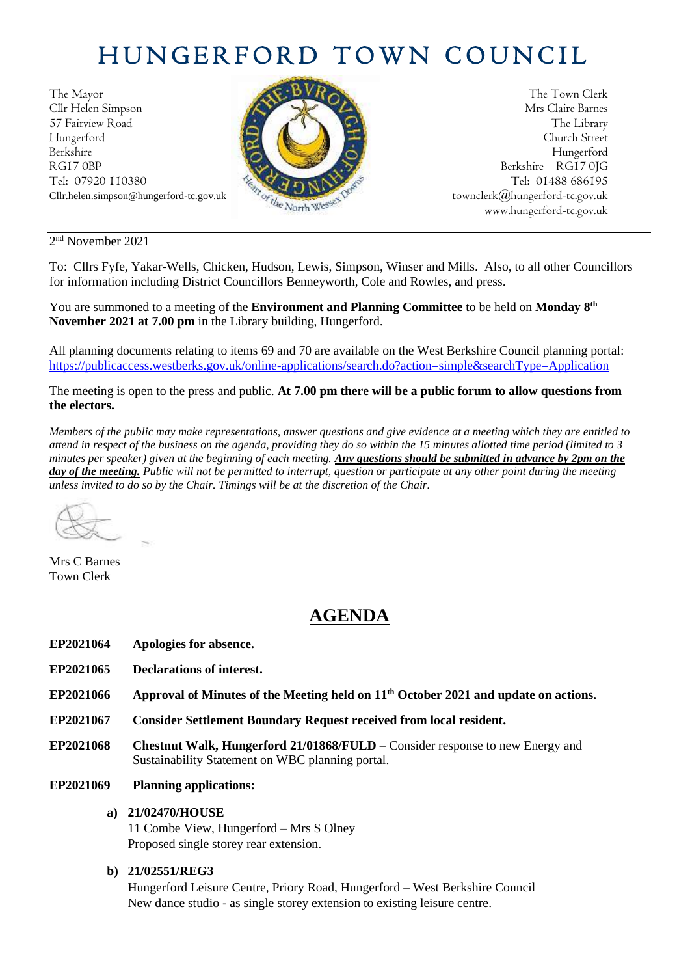# HUNGERFORD TOWN COUNCIL

The Mayor The Town Clerk Cllr Helen Simpson Mrs Claire Barnes 57 Fairview Road The Library (2004) The Library Hungerford Church Street Berkshire Hungerford RG17 0BP Berkshire RG17 0JG Tel: 07920 110380 **Tel: 07920 110380** Tel: 07920 110380



Cllr.helen.simpson@hungerford-tc.gov.uk [townclerk@hungerford-tc.gov.uk](about:blank) townclerk@hungerford-tc.gov.uk www.hungerford-tc.gov.uk [www.hungerford-tc.gov.uk](http://www.hungerford-tc.gov.uk/)

2 nd November 2021

To: Cllrs Fyfe, Yakar-Wells, Chicken, Hudson, Lewis, Simpson, Winser and Mills. Also, to all other Councillors for information including District Councillors Benneyworth, Cole and Rowles, and press.

You are summoned to a meeting of the **Environment and Planning Committee** to be held on **Monday 8 th November 2021 at 7.00 pm** in the Library building, Hungerford.

All planning documents relating to items 69 and 70 are available on the West Berkshire Council planning portal: <https://publicaccess.westberks.gov.uk/online-applications/search.do?action=simple&searchType=Application>

The meeting is open to the press and public. **At 7.00 pm there will be a public forum to allow questions from the electors.** 

*Members of the public may make representations, answer questions and give evidence at a meeting which they are entitled to attend in respect of the business on the agenda, providing they do so within the 15 minutes allotted time period (limited to 3 minutes per speaker) given at the beginning of each meeting. Any questions should be submitted in advance by 2pm on the day of the meeting. Public will not be permitted to interrupt, question or participate at any other point during the meeting unless invited to do so by the Chair. Timings will be at the discretion of the Chair.* 

Mrs C Barnes Town Clerk

# **AGENDA**

- **EP2021064 Apologies for absence.**
- **EP2021065 Declarations of interest.**
- **EP2021066 Approval of Minutes of the Meeting held on 11 th October 2021 and update on actions.**
- **EP2021067 Consider Settlement Boundary Request received from local resident.**
- **EP2021068 Chestnut Walk, Hungerford 21/01868/FULD**  Consider response to new Energy and Sustainability Statement on WBC planning portal.
- **EP2021069 Planning applications:**
	- **a) 21/02470/HOUSE**

11 Combe View, Hungerford – Mrs S Olney Proposed single storey rear extension.

#### **b) 21/02551/REG3**

Hungerford Leisure Centre, Priory Road, Hungerford – West Berkshire Council New dance studio - as single storey extension to existing leisure centre.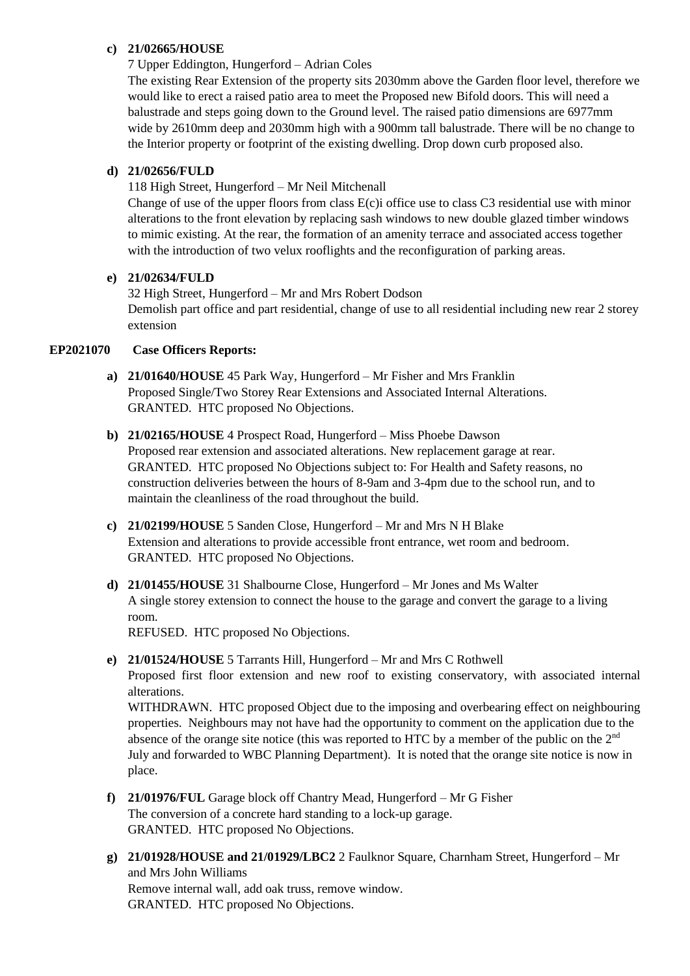#### **c) 21/02665/HOUSE**

7 Upper Eddington, Hungerford – Adrian Coles

The existing Rear Extension of the property sits 2030mm above the Garden floor level, therefore we would like to erect a raised patio area to meet the Proposed new Bifold doors. This will need a balustrade and steps going down to the Ground level. The raised patio dimensions are 6977mm wide by 2610mm deep and 2030mm high with a 900mm tall balustrade. There will be no change to the Interior property or footprint of the existing dwelling. Drop down curb proposed also.

## **d) 21/02656/FULD**

118 High Street, Hungerford – Mr Neil Mitchenall

Change of use of the upper floors from class E(c)i office use to class C3 residential use with minor alterations to the front elevation by replacing sash windows to new double glazed timber windows to mimic existing. At the rear, the formation of an amenity terrace and associated access together with the introduction of two velux rooflights and the reconfiguration of parking areas.

# **e) 21/02634/FULD**

32 High Street, Hungerford – Mr and Mrs Robert Dodson Demolish part office and part residential, change of use to all residential including new rear 2 storey extension

### **EP2021070 Case Officers Reports:**

- **a) 21/01640/HOUSE** 45 Park Way, Hungerford Mr Fisher and Mrs Franklin Proposed Single/Two Storey Rear Extensions and Associated Internal Alterations. GRANTED. HTC proposed No Objections.
- **b) 21/02165/HOUSE** 4 Prospect Road, Hungerford Miss Phoebe Dawson Proposed rear extension and associated alterations. New replacement garage at rear. GRANTED. HTC proposed No Objections subject to: For Health and Safety reasons, no construction deliveries between the hours of 8-9am and 3-4pm due to the school run, and to maintain the cleanliness of the road throughout the build.
- **c) 21/02199/HOUSE** 5 Sanden Close, Hungerford Mr and Mrs N H Blake Extension and alterations to provide accessible front entrance, wet room and bedroom. GRANTED. HTC proposed No Objections.
- **d) 21/01455/HOUSE** 31 Shalbourne Close, Hungerford Mr Jones and Ms Walter A single storey extension to connect the house to the garage and convert the garage to a living room.

REFUSED. HTC proposed No Objections.

**e) 21/01524/HOUSE** 5 Tarrants Hill, Hungerford – Mr and Mrs C Rothwell Proposed first floor extension and new roof to existing conservatory, with associated internal alterations.

WITHDRAWN. HTC proposed Object due to the imposing and overbearing effect on neighbouring properties. Neighbours may not have had the opportunity to comment on the application due to the absence of the orange site notice (this was reported to HTC by a member of the public on the 2nd July and forwarded to WBC Planning Department). It is noted that the orange site notice is now in place.

- **f) 21/01976/FUL** Garage block off Chantry Mead, Hungerford Mr G Fisher The conversion of a concrete hard standing to a lock-up garage. GRANTED. HTC proposed No Objections.
- **g) 21/01928/HOUSE and 21/01929/LBC2** 2 Faulknor Square, Charnham Street, Hungerford Mr and Mrs John Williams Remove internal wall, add oak truss, remove window. GRANTED. HTC proposed No Objections.